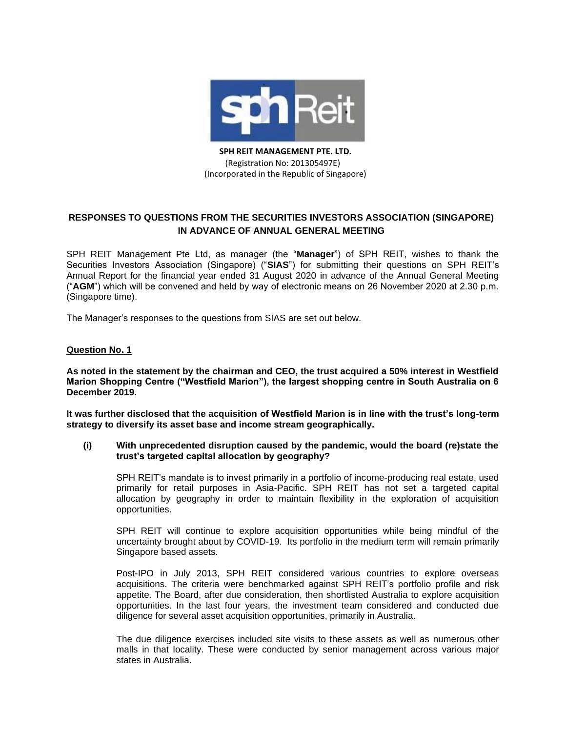

**SPH REIT MANAGEMENT PTE. LTD.** (Registration No: 201305497E) (Incorporated in the Republic of Singapore)

# **RESPONSES TO QUESTIONS FROM THE SECURITIES INVESTORS ASSOCIATION (SINGAPORE) IN ADVANCE OF ANNUAL GENERAL MEETING**

SPH REIT Management Pte Ltd, as manager (the "**Manager**") of SPH REIT, wishes to thank the Securities Investors Association (Singapore) ("**SIAS**") for submitting their questions on SPH REIT's Annual Report for the financial year ended 31 August 2020 in advance of the Annual General Meeting ("**AGM**") which will be convened and held by way of electronic means on 26 November 2020 at 2.30 p.m. (Singapore time).

The Manager's responses to the questions from SIAS are set out below.

## **Question No. 1**

**As noted in the statement by the chairman and CEO, the trust acquired a 50% interest in Westfield Marion Shopping Centre ("Westfield Marion"), the largest shopping centre in South Australia on 6 December 2019.**

**It was further disclosed that the acquisition of Westfield Marion is in line with the trust's long-term strategy to diversify its asset base and income stream geographically.**

#### **(i) With unprecedented disruption caused by the pandemic, would the board (re)state the trust's targeted capital allocation by geography?**

SPH REIT's mandate is to invest primarily in a portfolio of income-producing real estate, used primarily for retail purposes in Asia-Pacific. SPH REIT has not set a targeted capital allocation by geography in order to maintain flexibility in the exploration of acquisition opportunities.

SPH REIT will continue to explore acquisition opportunities while being mindful of the uncertainty brought about by COVID-19. Its portfolio in the medium term will remain primarily Singapore based assets.

Post-IPO in July 2013, SPH REIT considered various countries to explore overseas acquisitions. The criteria were benchmarked against SPH REIT's portfolio profile and risk appetite. The Board, after due consideration, then shortlisted Australia to explore acquisition opportunities. In the last four years, the investment team considered and conducted due diligence for several asset acquisition opportunities, primarily in Australia.

The due diligence exercises included site visits to these assets as well as numerous other malls in that locality. These were conducted by senior management across various major states in Australia.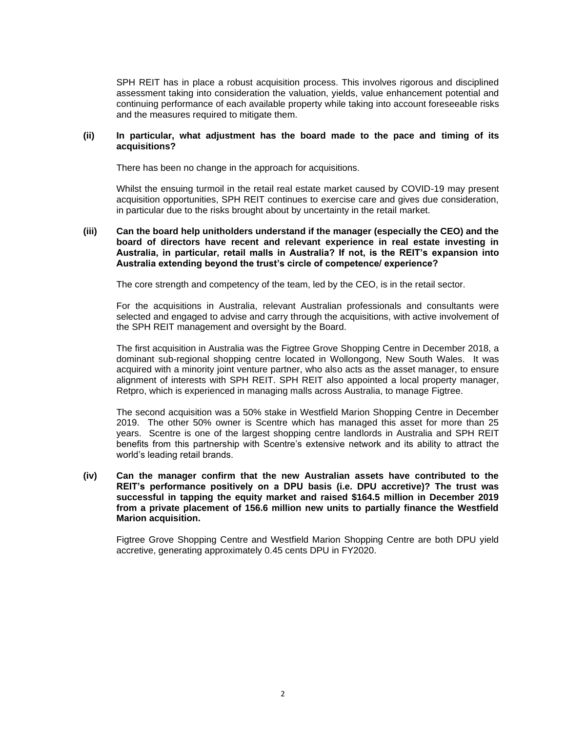SPH REIT has in place a robust acquisition process. This involves rigorous and disciplined assessment taking into consideration the valuation, yields, value enhancement potential and continuing performance of each available property while taking into account foreseeable risks and the measures required to mitigate them.

#### **(ii) In particular, what adjustment has the board made to the pace and timing of its acquisitions?**

There has been no change in the approach for acquisitions.

Whilst the ensuing turmoil in the retail real estate market caused by COVID-19 may present acquisition opportunities, SPH REIT continues to exercise care and gives due consideration, in particular due to the risks brought about by uncertainty in the retail market.

#### **(iii) Can the board help unitholders understand if the manager (especially the CEO) and the board of directors have recent and relevant experience in real estate investing in Australia, in particular, retail malls in Australia? If not, is the REIT's expansion into Australia extending beyond the trust's circle of competence/ experience?**

The core strength and competency of the team, led by the CEO, is in the retail sector.

For the acquisitions in Australia, relevant Australian professionals and consultants were selected and engaged to advise and carry through the acquisitions, with active involvement of the SPH REIT management and oversight by the Board.

The first acquisition in Australia was the Figtree Grove Shopping Centre in December 2018, a dominant sub-regional shopping centre located in Wollongong, New South Wales. It was acquired with a minority joint venture partner, who also acts as the asset manager, to ensure alignment of interests with SPH REIT. SPH REIT also appointed a local property manager, Retpro, which is experienced in managing malls across Australia, to manage Figtree.

The second acquisition was a 50% stake in Westfield Marion Shopping Centre in December 2019. The other 50% owner is Scentre which has managed this asset for more than 25 years. Scentre is one of the largest shopping centre landlords in Australia and SPH REIT benefits from this partnership with Scentre's extensive network and its ability to attract the world's leading retail brands.

**(iv) Can the manager confirm that the new Australian assets have contributed to the REIT's performance positively on a DPU basis (i.e. DPU accretive)? The trust was successful in tapping the equity market and raised \$164.5 million in December 2019 from a private placement of 156.6 million new units to partially finance the Westfield Marion acquisition.**

Figtree Grove Shopping Centre and Westfield Marion Shopping Centre are both DPU yield accretive, generating approximately 0.45 cents DPU in FY2020.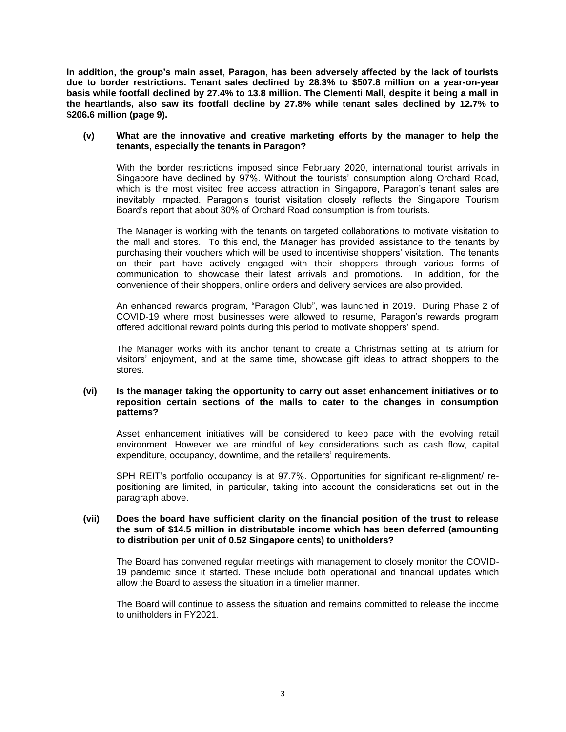**In addition, the group's main asset, Paragon, has been adversely affected by the lack of tourists due to border restrictions. Tenant sales declined by 28.3% to \$507.8 million on a year-on-year basis while footfall declined by 27.4% to 13.8 million. The Clementi Mall, despite it being a mall in the heartlands, also saw its footfall decline by 27.8% while tenant sales declined by 12.7% to \$206.6 million (page 9).**

#### **(v) What are the innovative and creative marketing efforts by the manager to help the tenants, especially the tenants in Paragon?**

With the border restrictions imposed since February 2020, international tourist arrivals in Singapore have declined by 97%. Without the tourists' consumption along Orchard Road, which is the most visited free access attraction in Singapore, Paragon's tenant sales are inevitably impacted. Paragon's tourist visitation closely reflects the Singapore Tourism Board's report that about 30% of Orchard Road consumption is from tourists.

The Manager is working with the tenants on targeted collaborations to motivate visitation to the mall and stores. To this end, the Manager has provided assistance to the tenants by purchasing their vouchers which will be used to incentivise shoppers' visitation. The tenants on their part have actively engaged with their shoppers through various forms of communication to showcase their latest arrivals and promotions. In addition, for the convenience of their shoppers, online orders and delivery services are also provided.

An enhanced rewards program, "Paragon Club", was launched in 2019. During Phase 2 of COVID-19 where most businesses were allowed to resume, Paragon's rewards program offered additional reward points during this period to motivate shoppers' spend.

The Manager works with its anchor tenant to create a Christmas setting at its atrium for visitors' enjoyment, and at the same time, showcase gift ideas to attract shoppers to the stores.

# **(vi) Is the manager taking the opportunity to carry out asset enhancement initiatives or to reposition certain sections of the malls to cater to the changes in consumption patterns?**

Asset enhancement initiatives will be considered to keep pace with the evolving retail environment. However we are mindful of key considerations such as cash flow, capital expenditure, occupancy, downtime, and the retailers' requirements.

SPH REIT's portfolio occupancy is at 97.7%. Opportunities for significant re-alignment/ repositioning are limited, in particular, taking into account the considerations set out in the paragraph above.

## **(vii) Does the board have sufficient clarity on the financial position of the trust to release the sum of \$14.5 million in distributable income which has been deferred (amounting to distribution per unit of 0.52 Singapore cents) to unitholders?**

The Board has convened regular meetings with management to closely monitor the COVID-19 pandemic since it started. These include both operational and financial updates which allow the Board to assess the situation in a timelier manner.

The Board will continue to assess the situation and remains committed to release the income to unitholders in FY2021.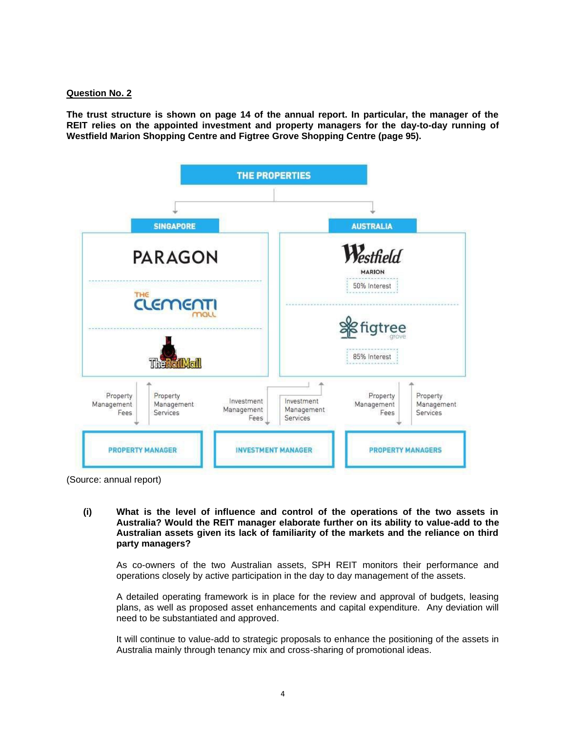## **Question No. 2**

**The trust structure is shown on page 14 of the annual report. In particular, the manager of the REIT relies on the appointed investment and property managers for the day-to-day running of Westfield Marion Shopping Centre and Figtree Grove Shopping Centre (page 95).**



(Source: annual report)

**(i) What is the level of influence and control of the operations of the two assets in Australia? Would the REIT manager elaborate further on its ability to value-add to the Australian assets given its lack of familiarity of the markets and the reliance on third party managers?**

As co-owners of the two Australian assets, SPH REIT monitors their performance and operations closely by active participation in the day to day management of the assets.

A detailed operating framework is in place for the review and approval of budgets, leasing plans, as well as proposed asset enhancements and capital expenditure. Any deviation will need to be substantiated and approved.

It will continue to value-add to strategic proposals to enhance the positioning of the assets in Australia mainly through tenancy mix and cross-sharing of promotional ideas.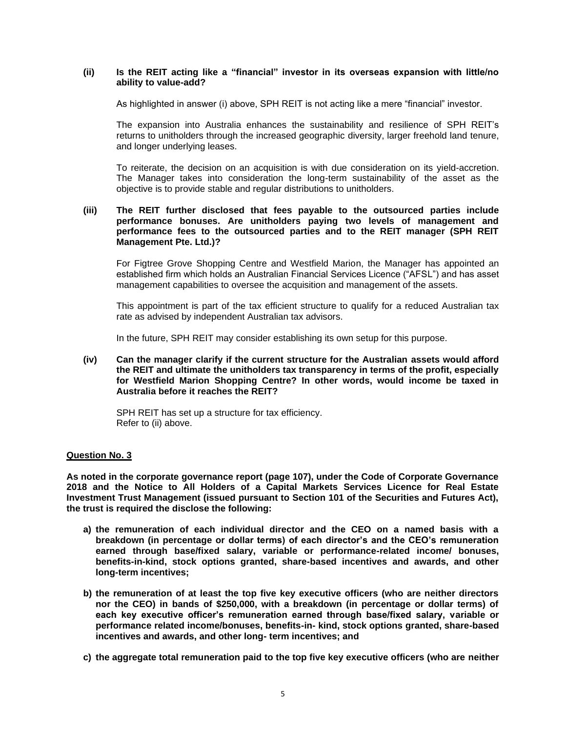#### **(ii) Is the REIT acting like a "financial" investor in its overseas expansion with little/no ability to value-add?**

As highlighted in answer (i) above, SPH REIT is not acting like a mere "financial" investor.

The expansion into Australia enhances the sustainability and resilience of SPH REIT's returns to unitholders through the increased geographic diversity, larger freehold land tenure, and longer underlying leases.

To reiterate, the decision on an acquisition is with due consideration on its yield-accretion. The Manager takes into consideration the long-term sustainability of the asset as the objective is to provide stable and regular distributions to unitholders.

## **(iii) The REIT further disclosed that fees payable to the outsourced parties include performance bonuses. Are unitholders paying two levels of management and performance fees to the outsourced parties and to the REIT manager (SPH REIT Management Pte. Ltd.)?**

For Figtree Grove Shopping Centre and Westfield Marion, the Manager has appointed an established firm which holds an Australian Financial Services Licence ("AFSL") and has asset management capabilities to oversee the acquisition and management of the assets.

This appointment is part of the tax efficient structure to qualify for a reduced Australian tax rate as advised by independent Australian tax advisors.

In the future, SPH REIT may consider establishing its own setup for this purpose.

**(iv) Can the manager clarify if the current structure for the Australian assets would afford the REIT and ultimate the unitholders tax transparency in terms of the profit, especially for Westfield Marion Shopping Centre? In other words, would income be taxed in Australia before it reaches the REIT?**

SPH REIT has set up a structure for tax efficiency. Refer to (ii) above.

## **Question No. 3**

**As noted in the corporate governance report (page 107), under the Code of Corporate Governance 2018 and the Notice to All Holders of a Capital Markets Services Licence for Real Estate Investment Trust Management (issued pursuant to Section 101 of the Securities and Futures Act), the trust is required the disclose the following:**

- **a) the remuneration of each individual director and the CEO on a named basis with a breakdown (in percentage or dollar terms) of each director's and the CEO's remuneration earned through base/fixed salary, variable or performance-related income/ bonuses, benefits-in-kind, stock options granted, share-based incentives and awards, and other long-term incentives;**
- **b) the remuneration of at least the top five key executive officers (who are neither directors nor the CEO) in bands of \$250,000, with a breakdown (in percentage or dollar terms) of each key executive officer's remuneration earned through base/fixed salary, variable or performance related income/bonuses, benefits-in- kind, stock options granted, share-based incentives and awards, and other long- term incentives; and**
- **c) the aggregate total remuneration paid to the top five key executive officers (who are neither**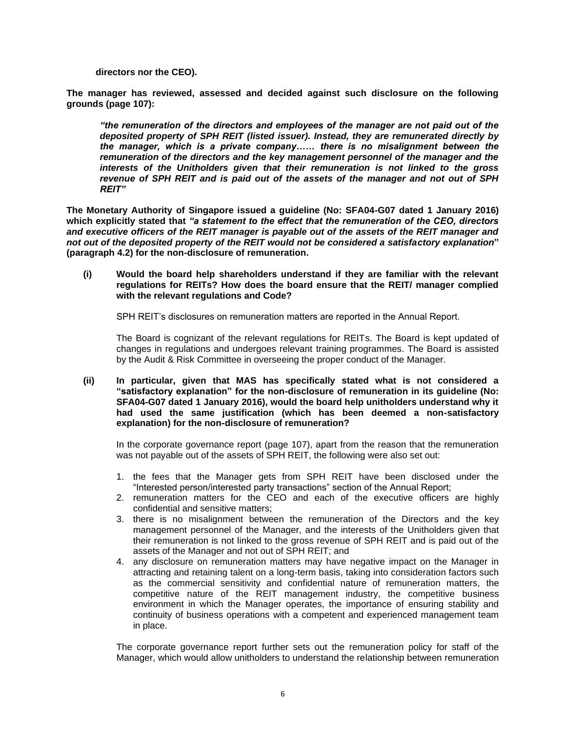**directors nor the CEO).**

**The manager has reviewed, assessed and decided against such disclosure on the following grounds (page 107):**

*"the remuneration of the directors and employees of the manager are not paid out of the deposited property of SPH REIT (listed issuer). Instead, they are remunerated directly by the manager, which is a private company…… there is no misalignment between the remuneration of the directors and the key management personnel of the manager and the interests of the Unitholders given that their remuneration is not linked to the gross revenue of SPH REIT and is paid out of the assets of the manager and not out of SPH REIT"*

**The Monetary Authority of Singapore issued a guideline (No: SFA04-G07 dated 1 January 2016) which explicitly stated that** *"a statement to the effect that the remuneration of the CEO, directors and executive officers of the REIT manager is payable out of the assets of the REIT manager and not out of the deposited property of the REIT would not be considered a satisfactory explanation***" (paragraph 4.2) for the non-disclosure of remuneration.**

**(i) Would the board help shareholders understand if they are familiar with the relevant regulations for REITs? How does the board ensure that the REIT/ manager complied with the relevant regulations and Code?**

SPH REIT's disclosures on remuneration matters are reported in the Annual Report.

The Board is cognizant of the relevant regulations for REITs. The Board is kept updated of changes in regulations and undergoes relevant training programmes. The Board is assisted by the Audit & Risk Committee in overseeing the proper conduct of the Manager.

**(ii) In particular, given that MAS has specifically stated what is not considered a "satisfactory explanation" for the non-disclosure of remuneration in its guideline (No: SFA04-G07 dated 1 January 2016), would the board help unitholders understand why it had used the same justification (which has been deemed a non-satisfactory explanation) for the non-disclosure of remuneration?**

In the corporate governance report (page 107), apart from the reason that the remuneration was not payable out of the assets of SPH REIT, the following were also set out:

- 1. the fees that the Manager gets from SPH REIT have been disclosed under the "Interested person/interested party transactions" section of the Annual Report;
- 2. remuneration matters for the CEO and each of the executive officers are highly confidential and sensitive matters;
- 3. there is no misalignment between the remuneration of the Directors and the key management personnel of the Manager, and the interests of the Unitholders given that their remuneration is not linked to the gross revenue of SPH REIT and is paid out of the assets of the Manager and not out of SPH REIT; and
- 4. any disclosure on remuneration matters may have negative impact on the Manager in attracting and retaining talent on a long-term basis, taking into consideration factors such as the commercial sensitivity and confidential nature of remuneration matters, the competitive nature of the REIT management industry, the competitive business environment in which the Manager operates, the importance of ensuring stability and continuity of business operations with a competent and experienced management team in place.

The corporate governance report further sets out the remuneration policy for staff of the Manager, which would allow unitholders to understand the relationship between remuneration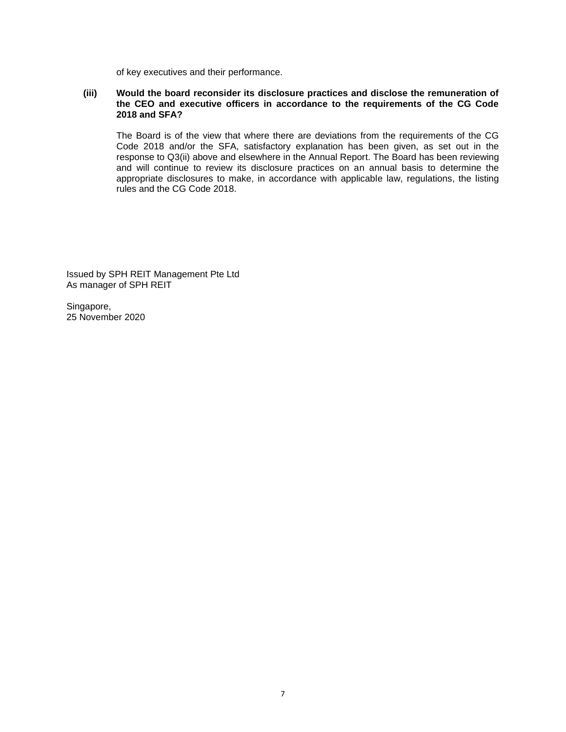of key executives and their performance.

# **(iii) Would the board reconsider its disclosure practices and disclose the remuneration of the CEO and executive officers in accordance to the requirements of the CG Code 2018 and SFA?**

The Board is of the view that where there are deviations from the requirements of the CG Code 2018 and/or the SFA, satisfactory explanation has been given, as set out in the response to Q3(ii) above and elsewhere in the Annual Report. The Board has been reviewing and will continue to review its disclosure practices on an annual basis to determine the appropriate disclosures to make, in accordance with applicable law, regulations, the listing rules and the CG Code 2018.

Issued by SPH REIT Management Pte Ltd As manager of SPH REIT

Singapore, 25 November 2020